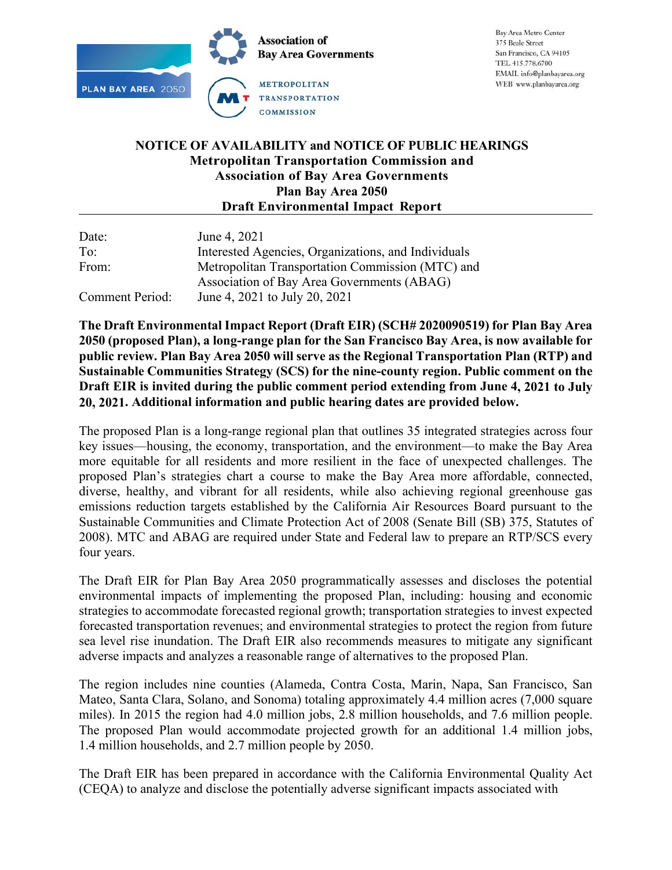

Bay Area Metro Center 375 Beale Street San Francisco, CA 94105 TEL 415.778.6700 EMAIL info@planbayarea.org WEB www.planbayarea.org

## **NOTICE OF AVAILABILITY and NOTICE OF PUBLIC HEARINGS Metropolitan Transportation Commission and Association of Bay Area Governments Plan Bay Area 2050 Draft Environmental Impact Report**

| Date:                  | June 4, 2021                                        |
|------------------------|-----------------------------------------------------|
| To:                    | Interested Agencies, Organizations, and Individuals |
| From:                  | Metropolitan Transportation Commission (MTC) and    |
|                        | Association of Bay Area Governments (ABAG)          |
| <b>Comment Period:</b> | June 4, 2021 to July 20, 2021                       |

**The Draft Environmental Impact Report (Draft EIR) (SCH# 2020090519) for Plan Bay Area 2050 (proposed Plan), a long-range plan for the San Francisco Bay Area, is now available for public review. Plan Bay Area 2050 will serve as the Regional Transportation Plan (RTP) and Sustainable Communities Strategy (SCS) for the nine-county region. Public comment on the Draft EIR is invited during the public comment period extending from June 4, 2021 to July 20, 2021. Additional information and public hearing dates are provided below.**

The proposed Plan is a long-range regional plan that outlines 35 integrated strategies across four key issues—housing, the economy, transportation, and the environment—to make the Bay Area more equitable for all residents and more resilient in the face of unexpected challenges. The proposed Plan's strategies chart a course to make the Bay Area more affordable, connected, diverse, healthy, and vibrant for all residents, while also achieving regional greenhouse gas emissions reduction targets established by the California Air Resources Board pursuant to the Sustainable Communities and Climate Protection Act of 2008 (Senate Bill (SB) 375, Statutes of 2008). MTC and ABAG are required under State and Federal law to prepare an RTP/SCS every four years.

The Draft EIR for Plan Bay Area 2050 programmatically assesses and discloses the potential environmental impacts of implementing the proposed Plan, including: housing and economic strategies to accommodate forecasted regional growth; transportation strategies to invest expected forecasted transportation revenues; and environmental strategies to protect the region from future sea level rise inundation. The Draft EIR also recommends measures to mitigate any significant adverse impacts and analyzes a reasonable range of alternatives to the proposed Plan.

The region includes nine counties (Alameda, Contra Costa, Marin, Napa, San Francisco, San Mateo, Santa Clara, Solano, and Sonoma) totaling approximately 4.4 million acres (7,000 square miles). In 2015 the region had 4.0 million jobs, 2.8 million households, and 7.6 million people. The proposed Plan would accommodate projected growth for an additional 1.4 million jobs, 1.4 million households, and 2.7 million people by 2050.

The Draft EIR has been prepared in accordance with the California Environmental Quality Act (CEQA) to analyze and disclose the potentially adverse significant impacts associated with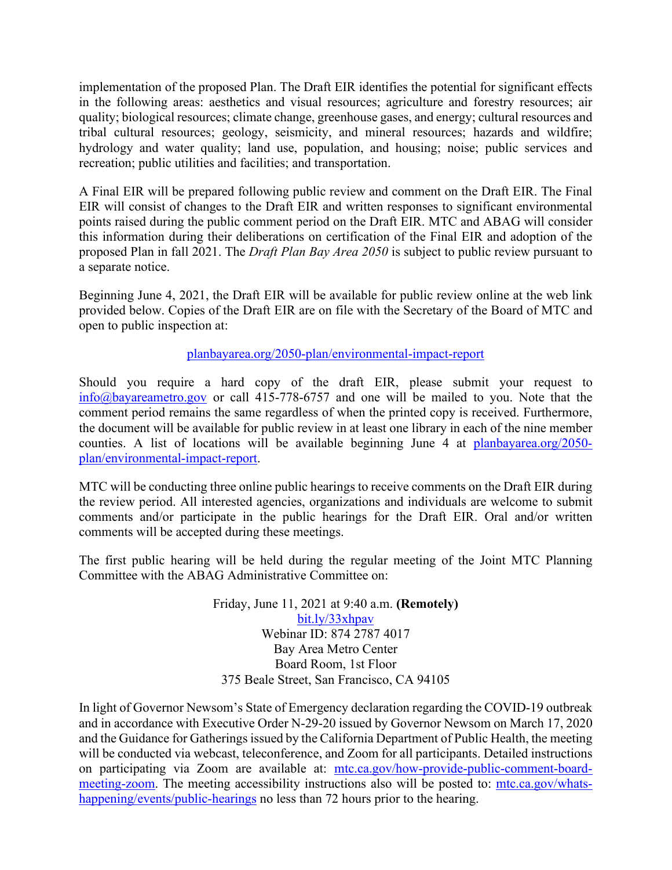implementation of the proposed Plan. The Draft EIR identifies the potential for significant effects in the following areas: aesthetics and visual resources; agriculture and forestry resources; air quality; biological resources; climate change, greenhouse gases, and energy; cultural resources and tribal cultural resources; geology, seismicity, and mineral resources; hazards and wildfire; hydrology and water quality; land use, population, and housing; noise; public services and recreation; public utilities and facilities; and transportation.

A Final EIR will be prepared following public review and comment on the Draft EIR. The Final EIR will consist of changes to the Draft EIR and written responses to significant environmental points raised during the public comment period on the Draft EIR. MTC and ABAG will consider this information during their deliberations on certification of the Final EIR and adoption of the proposed Plan in fall 2021. The *Draft Plan Bay Area 2050* is subject to public review pursuant to a separate notice.

Beginning June 4, 2021, the Draft EIR will be available for public review online at the web link provided below. Copies of the Draft EIR are on file with the Secretary of the Board of MTC and open to public inspection at:

[planbayarea.org/2050-plan/environmental-impact-report](https://www.planbayarea.org/2050-plan/environmental-impact-report)

Should you require a hard copy of the draft EIR, please submit your request to  $info@bayareametro.gov$  or call 415-778-6757 and one will be mailed to you. Note that the comment period remains the same regardless of when the printed copy is received. Furthermore, the document will be available for public review in at least one library in each of the nine member counties. A list of locations will be available beginning June 4 at [planbayarea.org/2050](https://www.planbayarea.org/2050-plan/environmental-impact-report) [plan/environmental-impact-report.](https://www.planbayarea.org/2050-plan/environmental-impact-report)

MTC will be conducting three online public hearings to receive comments on the Draft EIR during the review period. All interested agencies, organizations and individuals are welcome to submit comments and/or participate in the public hearings for the Draft EIR. Oral and/or written comments will be accepted during these meetings.

The first public hearing will be held during the regular meeting of the Joint MTC Planning Committee with the ABAG Administrative Committee on:

> Friday, June 11, 2021 at 9:40 a.m. **(Remotely)** [bit.ly/33xhpav](https://bit.ly/33xhpav) Webinar ID: 874 2787 4017 Bay Area Metro Center Board Room, 1st Floor 375 Beale Street, San Francisco, CA 94105

In light of Governor Newsom's State of Emergency declaration regarding the COVID-19 outbreak and in accordance with Executive Order N-29-20 issued by Governor Newsom on March 17, 2020 and the Guidance for Gatherings issued by the California Department of Public Health, the meeting will be conducted via webcast, teleconference, and Zoom for all participants. Detailed instructions on participating via Zoom are available at: [mtc.ca.gov/how-provide-public-comment-board](https://mtc.ca.gov/how-provide-public-comment-board-meeting-zoom)[meeting-zoom.](https://mtc.ca.gov/how-provide-public-comment-board-meeting-zoom) The meeting accessibility instructions also will be posted to: [mtc.ca.gov/whats](https://mtc.ca.gov/whats-happening/events/public-hearings)[happening/events/public-hearings](https://mtc.ca.gov/whats-happening/events/public-hearings) no less than 72 hours prior to the hearing.